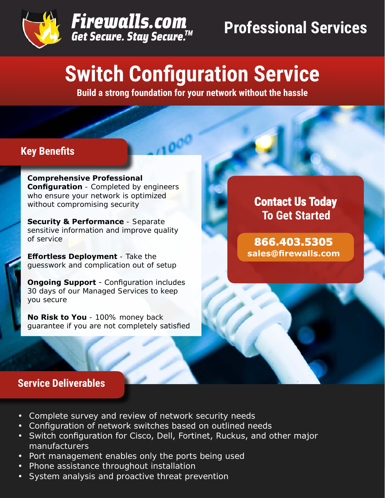



# **Switch Configuration Service**

**Build a strong foundation for your network without the hassle**

# **Key Benefits**

**Comprehensive Professional Configuration** - Completed by engineers who ensure your network is optimized without compromising security

**Security & Performance** - Separate sensitive information and improve quality of service

**Effortless Deployment** - Take the guesswork and complication out of setup

**Ongoing Support** - Configuration includes 30 days of our Managed Services to keep you secure

**No Risk to You** - 100% money back guarantee if you are not completely satisfied

# **Contact Us Today To Get Started**

**866.403.5305 sales@firewalls.com**

# **Service Deliverables**

- Complete survey and review of network security needs
- Configuration of network switches based on outlined needs
- Switch configuration for Cisco, Dell, Fortinet, Ruckus, and other major manufacturers
- Port management enables only the ports being used
- Phone assistance throughout installation
- System analysis and proactive threat prevention